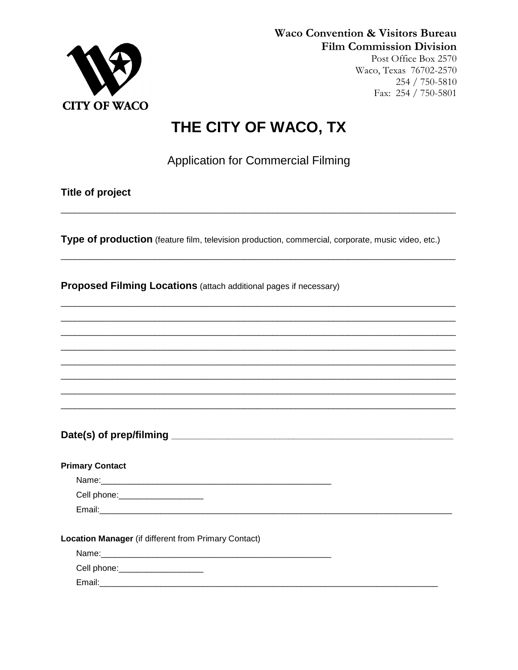

**Waco Convention & Visitors Bureau Film Commission Division** 

Post Office Box 2570 Waco, Texas 76702-2570 254 / 750-5810 Fax: 254 / 750-5801

## THE CITY OF WACO, TX

**Application for Commercial Filming** 

**Title of project** 

Type of production (feature film, television production, commercial, corporate, music video, etc.)

Proposed Filming Locations (attach additional pages if necessary)

| Date(s) of prep/filming _ |  |
|---------------------------|--|
|                           |  |

| <b>Primary Contact</b>                               |  |
|------------------------------------------------------|--|
| Name: Name:                                          |  |
| Cell phone: <u>_________________</u> ____            |  |
|                                                      |  |
|                                                      |  |
| Location Manager (if different from Primary Contact) |  |
|                                                      |  |
| Cell phone: ______________________                   |  |
|                                                      |  |

Email: Email: Email: Email: Email: Email: Email: Email: Email: Email: Email: Email: Email: Email: Email: Email: Email: Email: Email: Email: Email: Email: Email: Email: Email: Email: Email: Email: Email: Email: Email: Email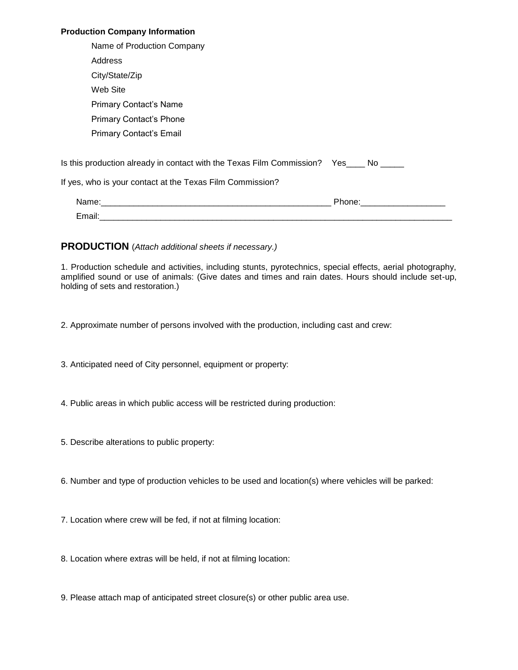## **Production Company Information**

|        | Name of Production Company                                                             |                                                                                                               |
|--------|----------------------------------------------------------------------------------------|---------------------------------------------------------------------------------------------------------------|
|        | Address                                                                                |                                                                                                               |
|        | City/State/Zip                                                                         |                                                                                                               |
|        | Web Site                                                                               |                                                                                                               |
|        | <b>Primary Contact's Name</b>                                                          |                                                                                                               |
|        | Primary Contact's Phone                                                                |                                                                                                               |
|        | Primary Contact's Email                                                                |                                                                                                               |
|        | Is this production already in contact with the Texas Film Commission? Yes____ No _____ |                                                                                                               |
|        | If yes, who is your contact at the Texas Film Commission?                              |                                                                                                               |
|        |                                                                                        | Phone: 2000 2000 2010 2010 2020 2020 2021 2021 2022 2021 2021 2021 2022 2022 2022 2022 2022 2022 2023 2021 20 |
| Email: |                                                                                        |                                                                                                               |

## **PRODUCTION** (*Attach additional sheets if necessary.)*

1. Production schedule and activities, including stunts, pyrotechnics, special effects, aerial photography, amplified sound or use of animals: (Give dates and times and rain dates. Hours should include set-up, holding of sets and restoration.)

2. Approximate number of persons involved with the production, including cast and crew:

3. Anticipated need of City personnel, equipment or property:

4. Public areas in which public access will be restricted during production:

5. Describe alterations to public property:

6. Number and type of production vehicles to be used and location(s) where vehicles will be parked:

7. Location where crew will be fed, if not at filming location:

8. Location where extras will be held, if not at filming location:

9. Please attach map of anticipated street closure(s) or other public area use.